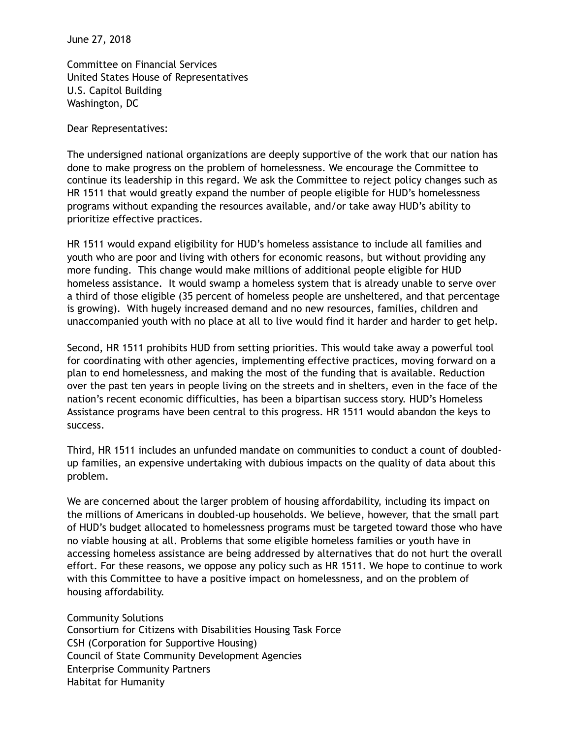June 27, 2018

Committee on Financial Services United States House of Representatives U.S. Capitol Building Washington, DC

Dear Representatives:

The undersigned national organizations are deeply supportive of the work that our nation has done to make progress on the problem of homelessness. We encourage the Committee to continue its leadership in this regard. We ask the Committee to reject policy changes such as HR 1511 that would greatly expand the number of people eligible for HUD's homelessness programs without expanding the resources available, and/or take away HUD's ability to prioritize effective practices.

HR 1511 would expand eligibility for HUD's homeless assistance to include all families and youth who are poor and living with others for economic reasons, but without providing any more funding. This change would make millions of additional people eligible for HUD homeless assistance. It would swamp a homeless system that is already unable to serve over a third of those eligible (35 percent of homeless people are unsheltered, and that percentage is growing). With hugely increased demand and no new resources, families, children and unaccompanied youth with no place at all to live would find it harder and harder to get help.

Second, HR 1511 prohibits HUD from setting priorities. This would take away a powerful tool for coordinating with other agencies, implementing effective practices, moving forward on a plan to end homelessness, and making the most of the funding that is available. Reduction over the past ten years in people living on the streets and in shelters, even in the face of the nation's recent economic difficulties, has been a bipartisan success story. HUD's Homeless Assistance programs have been central to this progress. HR 1511 would abandon the keys to success.

Third, HR 1511 includes an unfunded mandate on communities to conduct a count of doubledup families, an expensive undertaking with dubious impacts on the quality of data about this problem.

We are concerned about the larger problem of housing affordability, including its impact on the millions of Americans in doubled-up households. We believe, however, that the small part of HUD's budget allocated to homelessness programs must be targeted toward those who have no viable housing at all. Problems that some eligible homeless families or youth have in accessing homeless assistance are being addressed by alternatives that do not hurt the overall effort. For these reasons, we oppose any policy such as HR 1511. We hope to continue to work with this Committee to have a positive impact on homelessness, and on the problem of housing affordability.

Community Solutions Consortium for Citizens with Disabilities Housing Task Force CSH (Corporation for Supportive Housing) Council of State Community Development Agencies Enterprise Community Partners Habitat for Humanity